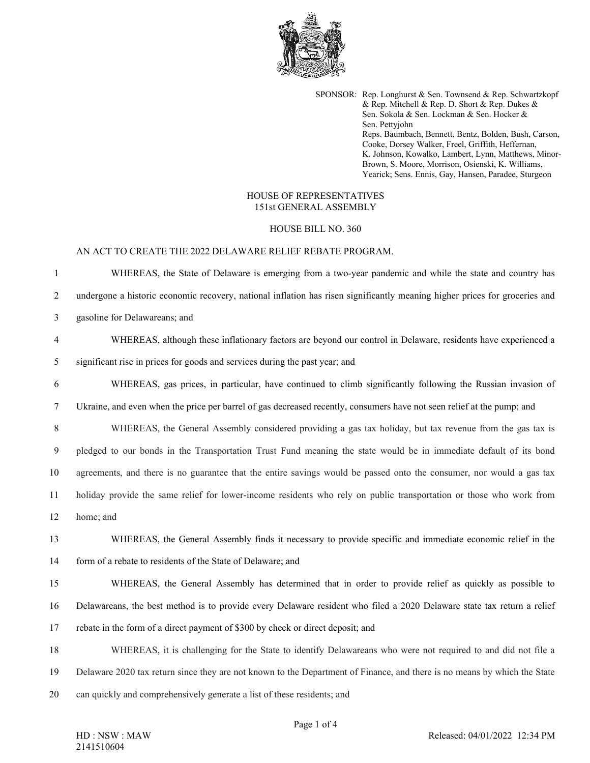

SPONSOR: Rep. Longhurst & Sen. Townsend & Rep. Schwartzkopf & Rep. Mitchell & Rep. D. Short & Rep. Dukes & Sen. Sokola & Sen. Lockman & Sen. Hocker & Sen. Pettyjohn Reps. Baumbach, Bennett, Bentz, Bolden, Bush, Carson, Cooke, Dorsey Walker, Freel, Griffith, Heffernan, K. Johnson, Kowalko, Lambert, Lynn, Matthews, Minor-Brown, S. Moore, Morrison, Osienski, K. Williams, Yearick; Sens. Ennis, Gay, Hansen, Paradee, Sturgeon

## HOUSE OF REPRESENTATIVES 151st GENERAL ASSEMBLY

## HOUSE BILL NO. 360

## AN ACT TO CREATE THE 2022 DELAWARE RELIEF REBATE PROGRAM.

1 WHEREAS, the State of Delaware is emerging from a two-year pandemic and while the state and country has 2 undergone a historic economic recovery, national inflation has risen significantly meaning higher prices for groceries and 3 gasoline for Delawareans; and 4 WHEREAS, although these inflationary factors are beyond our control in Delaware, residents have experienced a 5 significant rise in prices for goods and services during the past year; and 6 WHEREAS, gas prices, in particular, have continued to climb significantly following the Russian invasion of 7 Ukraine, and even when the price per barrel of gas decreased recently, consumers have not seen relief at the pump; and 8 WHEREAS, the General Assembly considered providing a gas tax holiday, but tax revenue from the gas tax is 9 pledged to our bonds in the Transportation Trust Fund meaning the state would be in immediate default of its bond 10 agreements, and there is no guarantee that the entire savings would be passed onto the consumer, nor would a gas tax 11 holiday provide the same relief for lower-income residents who rely on public transportation or those who work from 12 home; and 13 WHEREAS, the General Assembly finds it necessary to provide specific and immediate economic relief in the 14 form of a rebate to residents of the State of Delaware; and 15 WHEREAS, the General Assembly has determined that in order to provide relief as quickly as possible to 16 Delawareans, the best method is to provide every Delaware resident who filed a 2020 Delaware state tax return a relief 17 rebate in the form of a direct payment of \$300 by check or direct deposit; and 18 WHEREAS, it is challenging for the State to identify Delawareans who were not required to and did not file a 19 Delaware 2020 tax return since they are not known to the Department of Finance, and there is no means by which the State 20 can quickly and comprehensively generate a list of these residents; and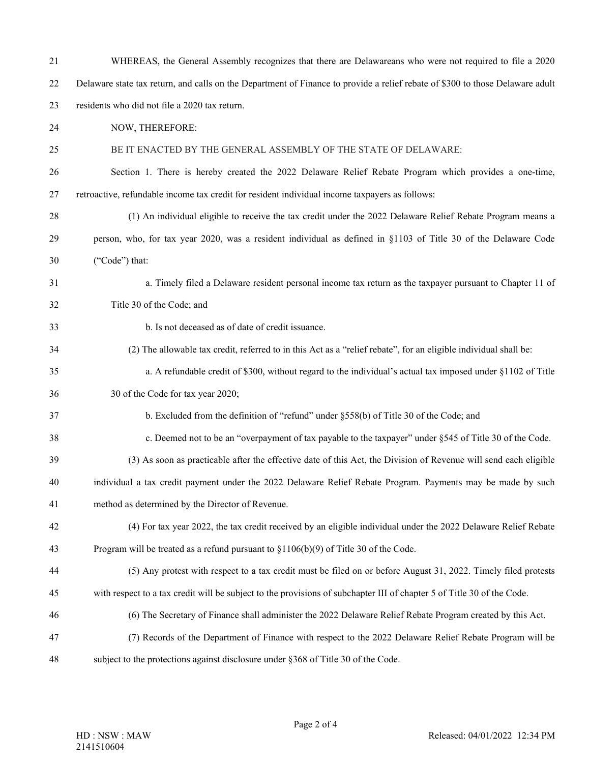| 21 | WHEREAS, the General Assembly recognizes that there are Delawareans who were not required to file a 2020                      |
|----|-------------------------------------------------------------------------------------------------------------------------------|
| 22 | Delaware state tax return, and calls on the Department of Finance to provide a relief rebate of \$300 to those Delaware adult |
| 23 | residents who did not file a 2020 tax return.                                                                                 |
| 24 | NOW, THEREFORE:                                                                                                               |
| 25 | BE IT ENACTED BY THE GENERAL ASSEMBLY OF THE STATE OF DELAWARE:                                                               |
| 26 | Section 1. There is hereby created the 2022 Delaware Relief Rebate Program which provides a one-time,                         |
| 27 | retroactive, refundable income tax credit for resident individual income taxpayers as follows:                                |
| 28 | (1) An individual eligible to receive the tax credit under the 2022 Delaware Relief Rebate Program means a                    |
| 29 | person, who, for tax year 2020, was a resident individual as defined in §1103 of Title 30 of the Delaware Code                |
| 30 | ("Code") that:                                                                                                                |
| 31 | a. Timely filed a Delaware resident personal income tax return as the taxpayer pursuant to Chapter 11 of                      |
| 32 | Title 30 of the Code; and                                                                                                     |
| 33 | b. Is not deceased as of date of credit issuance.                                                                             |
| 34 | (2) The allowable tax credit, referred to in this Act as a "relief rebate", for an eligible individual shall be:              |
| 35 | a. A refundable credit of \$300, without regard to the individual's actual tax imposed under §1102 of Title                   |
| 36 | 30 of the Code for tax year 2020;                                                                                             |
| 37 | b. Excluded from the definition of "refund" under §558(b) of Title 30 of the Code; and                                        |
| 38 | c. Deemed not to be an "overpayment of tax payable to the taxpayer" under §545 of Title 30 of the Code.                       |
| 39 | (3) As soon as practicable after the effective date of this Act, the Division of Revenue will send each eligible              |
| 40 | individual a tax credit payment under the 2022 Delaware Relief Rebate Program. Payments may be made by such                   |
| 41 | method as determined by the Director of Revenue.                                                                              |
| 42 | (4) For tax year 2022, the tax credit received by an eligible individual under the 2022 Delaware Relief Rebate                |
| 43 | Program will be treated as a refund pursuant to $\S1106(b)(9)$ of Title 30 of the Code.                                       |
| 44 | (5) Any protest with respect to a tax credit must be filed on or before August 31, 2022. Timely filed protests                |
| 45 | with respect to a tax credit will be subject to the provisions of subchapter III of chapter 5 of Title 30 of the Code.        |
| 46 | (6) The Secretary of Finance shall administer the 2022 Delaware Relief Rebate Program created by this Act.                    |
| 47 | (7) Records of the Department of Finance with respect to the 2022 Delaware Relief Rebate Program will be                      |
| 48 | subject to the protections against disclosure under §368 of Title 30 of the Code.                                             |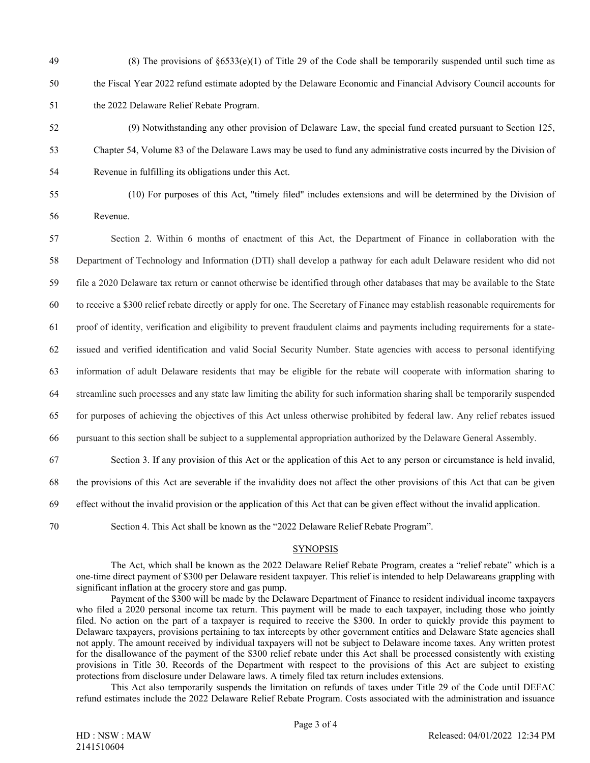49 (8) The provisions of  $\S 6533(e)(1)$  of Title 29 of the Code shall be temporarily suspended until such time as 50 the Fiscal Year 2022 refund estimate adopted by the Delaware Economic and Financial Advisory Council accounts for 51 the 2022 Delaware Relief Rebate Program.

- 52 (9) Notwithstanding any other provision of Delaware Law, the special fund created pursuant to Section 125, 53 Chapter 54, Volume 83 of the Delaware Laws may be used to fund any administrative costs incurred by the Division of 54 Revenue in fulfilling its obligations under this Act.
	-
- 55 (10) For purposes of this Act, "timely filed" includes extensions and will be determined by the Division of 56 Revenue.
- 57 Section 2. Within 6 months of enactment of this Act, the Department of Finance in collaboration with the 58 Department of Technology and Information (DTI) shall develop a pathway for each adult Delaware resident who did not 59 file a 2020 Delaware tax return or cannot otherwise be identified through other databases that may be available to the State 60 to receive a \$300 relief rebate directly or apply for one. The Secretary of Finance may establish reasonable requirements for 61 proof of identity, verification and eligibility to prevent fraudulent claims and payments including requirements for a state-62 issued and verified identification and valid Social Security Number. State agencies with access to personal identifying 63 information of adult Delaware residents that may be eligible for the rebate will cooperate with information sharing to 64 streamline such processes and any state law limiting the ability for such information sharing shall be temporarily suspended 65 for purposes of achieving the objectives of this Act unless otherwise prohibited by federal law. Any relief rebates issued 66 pursuant to this section shall be subject to a supplemental appropriation authorized by the Delaware General Assembly. 67 Section 3. If any provision of this Act or the application of this Act to any person or circumstance is held invalid, 68 the provisions of this Act are severable if the invalidity does not affect the other provisions of this Act that can be given 69 effect without the invalid provision or the application of this Act that can be given effect without the invalid application.
- 

70 Section 4. This Act shall be known as the "2022 Delaware Relief Rebate Program".

## **SYNOPSIS**

The Act, which shall be known as the 2022 Delaware Relief Rebate Program, creates a "relief rebate" which is a one-time direct payment of \$300 per Delaware resident taxpayer. This relief is intended to help Delawareans grappling with significant inflation at the grocery store and gas pump.

Payment of the \$300 will be made by the Delaware Department of Finance to resident individual income taxpayers who filed a 2020 personal income tax return. This payment will be made to each taxpayer, including those who jointly filed. No action on the part of a taxpayer is required to receive the \$300. In order to quickly provide this payment to Delaware taxpayers, provisions pertaining to tax intercepts by other government entities and Delaware State agencies shall not apply. The amount received by individual taxpayers will not be subject to Delaware income taxes. Any written protest for the disallowance of the payment of the \$300 relief rebate under this Act shall be processed consistently with existing provisions in Title 30. Records of the Department with respect to the provisions of this Act are subject to existing protections from disclosure under Delaware laws. A timely filed tax return includes extensions.

This Act also temporarily suspends the limitation on refunds of taxes under Title 29 of the Code until DEFAC refund estimates include the 2022 Delaware Relief Rebate Program. Costs associated with the administration and issuance